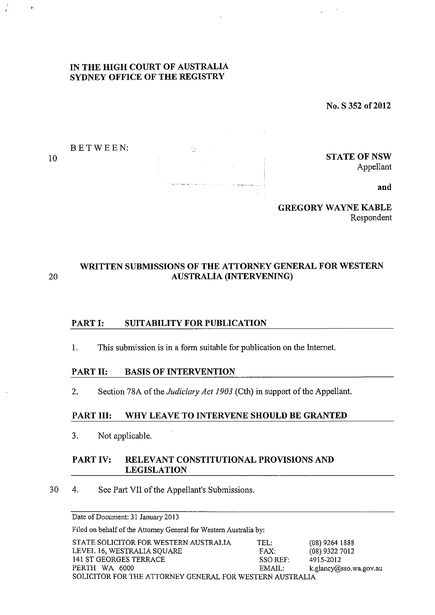## **IN THE HIGH COURT OF AUSTRALIA SYDNEY OFFICE OF THE REGISTRY**

No. S **352 of2012** 



**GREGORY WAYNE KABLE**  Respondent

# **WRITTEN SUBMISSIONS OF THE ATTORNEY GENERAL FOR WESTERN**  20 **AUSTRALiA (INTERVENING)**

# **PART I: SUITABILITY FOR PUBLICATION**

1. This submission is in a form suitable for publication on the Internet.

#### **PART II: BASIS OF INTERVENTION**

2. Section 78A of the *Judiciary Act 1903* (Cth) in support of the Appellant.

#### **PART III: WHY LEAVE TO INTERVENE SHOULD BE GRANTED**

3. Not applicable.

## **PART IV: RELEVANT CONSTITUTIONAL PROVISIONS AND LEGISLATION**

30 4. See Part VII of the Appellant's Submissions.

Date of Document: 31 January 2013

Filed on behalf of the Attorney General for Western Australia by:

| STATE SOLICITOR FOR WESTERN AUSTRALIA                    | TEL:      | $(08)$ 9264 1888       |
|----------------------------------------------------------|-----------|------------------------|
| LEVEL 16, WESTRALIA SQUARE                               | FAX:      | $(08)$ 9322 7012       |
| 141 ST GEORGES TERRACE                                   | $SSO$ REF | 4915-2012              |
| PERTH WA 6000                                            | EMAIL:    | k.glancy@sso.wa.gov.au |
| SOLICITOR FOR THE ATTORNEY GENERAL FOR WESTERN AUSTRALIA |           |                        |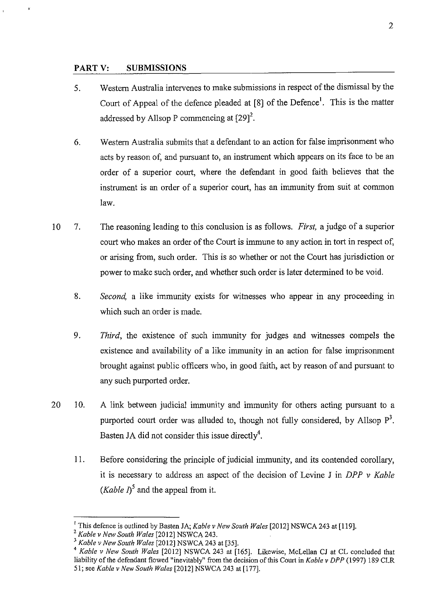## **PARTY: SUBMISSIONS**

- 5. Western Australia intervenes to make submissions in respect of the dismissal by the Court of Appeal of the defence pleaded at  $[8]$  of the Defence<sup>1</sup>. This is the matter addressed by Allsop P commencing at  $[29]^2$ .
- 6. Western Australia submits that a defendant to an action for false imprisonment who acts by reason of, and pursuant to, an instrument which appears on its face to be an order of a superior court, where the defendant in good faith believes that the instrument is an order of a superior court, has an immunity from suit at common law.
- 10 7. The reasoning leading to this conclusion is as follows. *First,* a judge of a superior court who makes an order of the Court is immune to any action in tort in respect of, or arising from, such order. This is so whether or not the Court has jurisdiction or power to make such order, and whether such order is later determined to be void.
	- 8. *Second,* a like immunity exists for witnesses who appear in any proceeding in which such an order is made.
	- 9. *Third,* the existence of such immunity for judges and witnesses compels the existence and availability of a like immunity in an action for false imprisonment brought against public officers who, in good faith, act by reason of and pursuant to any such purported order.
- 20 10. A link between judicial immunity and immunity for others acting pursuant to a purported court order was alluded to, though not fully considered, by Allsop  $P<sup>3</sup>$ . Basten JA did not consider this issue directly<sup>4</sup>.
	- 11. Before considering the principle of judicial immunity, and its contended corollary, it is necessary to address an aspect of the decision of Levine J in *DP P v Kable (Kable I)*<sup>5</sup> and the appeal from it.

<sup>&</sup>lt;sup>1</sup> This defence is outlined by Basten JA; *Kable v New South Wales* [2012] NSWCA 243 at [119]. <sup>2</sup> *Kable v New South Wales* [2012] NSWCA 243.

<sup>&</sup>lt;sup>3</sup> Kable v New South Wales [2012] NSWCA 243 at [35].

<sup>4</sup>*Kable v New South Wales* [2012] NSWCA 243 at [165]. Likewise, McLellan CJ at CL concluded that liability of the defendant flowed "inevitably" from the decision of this Court in *Kable v DPP* (1997) 189 CLR 51; see *Kable v New South Wales* [2012] NSWCA 243 at [177].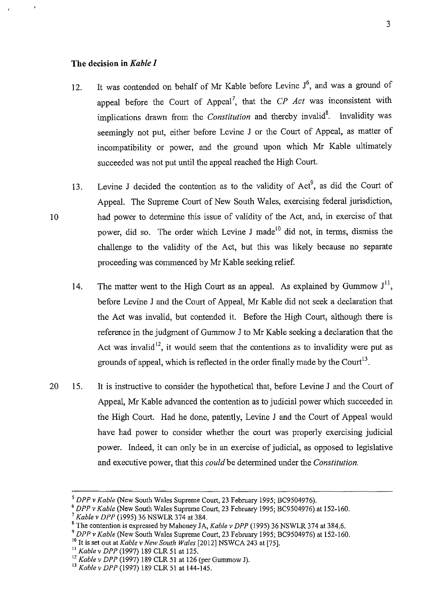#### **The decision in** *Kable I*

- 12. It was contended on behalf of Mr Kable before Levine  $J^6$ , and was a ground of appeal before the Court of Appeal<sup>7</sup>, that the *CP Act* was inconsistent with implications drawn from the *Constitution* and thereby invalid<sup>8</sup>. Invalidity was seemingly not put, either before Levine J or the Court of Appeal, as matter of incompatibility or power, and the ground upon which Mr Kable ultimately succeeded was not put until the appeal reached the High Court.
- 13. Levine J decided the contention as to the validity of  $Act^9$ , as did the Court of Appeal. The Supreme Court of New South Wales, exercising federal jurisdiction, had power to determine this issue of validity of the Act, and, in exercise of that power, did so. The order which Levine J made<sup>10</sup> did not, in terms, dismiss the challenge to the validity of the Act, but this was likely because no separate proceeding was commenced by Mr Kable seeking relief.
	- 14. The matter went to the High Court as an appeal. As explained by Gummow  $J<sup>11</sup>$ before Levine J and the Court of Appeal, Mr Kable did not seek a declaration that the Act was invalid, but contended it. Before the High Court, although there is reference in the judgment of Gummow J to Mr Kable seeking a declaration that the Act was invalid<sup>12</sup>, it would seem that the contentions as to invalidity were put as grounds of appeal, which is reflected in the order finally made by the Court<sup>13</sup>.
- 20 15. It is instructive to consider the hypothetical that, before Levine J and the Court of Appeal, Mr Kable advanced the contention as to judicial power which succeeded in the High Court. Had he done, patently, Levine J and the Court of Appeal would have had power to consider whether the court was properly exercising judicial power. Indeed, it can only be in an exercise of judicial, as opposed to legislative and executive power, that this *could* be determined under the *Constitution.*

<sup>&</sup>lt;sup>5</sup> DPP v Kable (New South Wales Supreme Court, 23 February 1995; BC9504976).<br>
<sup>6</sup> DPP v Kable (New South Wales Supreme Court, 23 February 1995; BC9504976) at 152-160.<br>
<sup>7</sup> Kable v DPP (1995) 36 NSWLR 374 at 384.

<sup>&</sup>lt;sup>8</sup> The contention is expressed by Mahoney JA, *Kable v DPP* (1995) 36 NSWLR 374 at 384.6.

<sup>9</sup>*DPP v Kable* (New South Wales Supreme Court, 23 February 1995; BC9504976) at 152-160.

<sup>10</sup> It is set out at *Kable v New South Wales* [2012] NSWCA 243 at [75].

<sup>11</sup>*Kable v DPP* (1997) 189 CLR 51 at 125.

<sup>&</sup>lt;sup>12</sup> Kable v DPP (1997) 189 CLR 51 at 126 (per Gummow J).<br><sup>13</sup> Kable v DPP (1997) 189 CLR 51 at 144-145.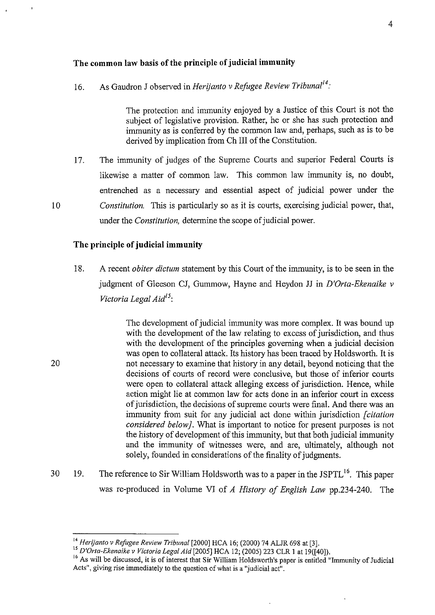## **The common law basis of the principle of judicial immunity**

16. As Gaudron J observed in *Herijanto v Refugee Review Tribunal14·* 

The protection and immunity enjoyed by a Justice of this Court is not the subject of legislative provision. Rather, he or she has such protection and immunity as is conferred by the common law and, perhaps, such as is to be derived by implication from Ch III of the Constitution.

17. The immunity of judges of the Supreme Courts and superior Federal Courts is likewise a matter of common law. This common law immunity is, no doubt, entrenched as a necessary and essential aspect of judicial power under the *Constitution.* This is particularly so as it is courts, exercising judicial power, that, under the *Constitution,* determine the scope of judicial power.

## **The principle of judicial immunity**

18. A recent *obiter dictum* statement by this Court of the immunity, is to be seen in the judgment of Gleeson CJ, Gummow, Hayne and Heydon JJ in *D'Orta-Ekenaike v Victoria Legal Aid15:* 

> The development of judicial immunity was more complex. It was bound up with the development of the law relating to excess of jurisdiction, and thus with the development of the principles governing when a judicial decision was open to collateral attack. Its history has been traced by Holdsworth. It is not necessary to examine that history in any detail, beyond noticing that the decisions of courts of record were conclusive, but those of inferior courts were open to collateral attack alleging excess of jurisdiction. Hence, while action might lie at common law for acts done in an inferior court in excess of jurisdiction, the decisions of supreme courts were final. And there was an immunity from suit for any judicial act done within jurisdiction *[citation considered below}.* What is important to notice for present purposes is not the history of development of this immunity, but that both judicial immunity and the immunity of witnesses were, and are, ultimately, although not solely, founded in considerations of the finality of judgments.

30 19. The reference to Sir William Holdsworth was to a paper in the JSPTL<sup>16</sup>. This paper was re-produced in Volume VI of *A History of English Law* pp.234-240. The

20

<sup>&</sup>lt;sup>14</sup> Herijanto v Refugee Review Tribunal [2000] HCA 16; (2000) 74 ALJR 698 at [3].<br><sup>15</sup> D'Orta-Ekenaike v Victoria Legal Aid [2005] HCA 12; (2005) 223 CLR 1 at 19([40]).

<sup>&</sup>lt;sup>16</sup> As will be discussed, it is of interest that Sir William Holdsworth's paper is entitled "Immunity of Judicial Acts", giving rise immediately to the question of what is a "judicial act".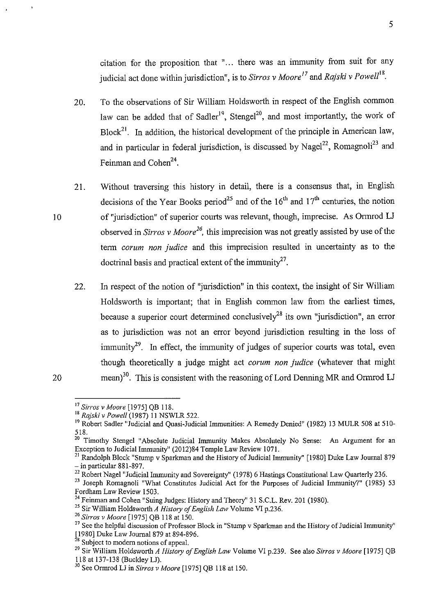citation for the proposition that "... there was an immunity from suit for any judicial act done within jurisdiction", is to *Sirros v Moore<sup>17</sup>* and *Rajski v Powell*<sup>18</sup>.

- 20. To the observations of Sir William Holdsworth in respect of the English common law can be added that of Sadler<sup>19</sup>, Stengel<sup>20</sup>, and most importantly, the work of  $Block<sup>21</sup>$ . In addition, the historical development of the principle in American law, and in particular in federal jurisdiction, is discussed by Nagel<sup>22</sup>, Romagnoli<sup>23</sup> and Feinman and Cohen<sup>24</sup>.
- 21. Without traversing this history in detail, there is a consensus that, in English decisions of the Year Books period<sup>25</sup> and of the  $16<sup>th</sup>$  and  $17<sup>th</sup>$  centuries, the notion of "jurisdiction" of superior courts was relevant, though, imprecise. As Ormrod LJ observed in *Sirros v Moore*<sup>26</sup>, this imprecision was not greatly assisted by use of the term *corum non judice* and this imprecision resulted in uncertainty as to the doctrinal basis and practical extent of the immunity<sup>27</sup>.
	- 22. In respect of the notion of "jurisdiction" in this context, the insight of Sir William Holdsworth is important; that in English common law from the earliest times, because a superior court determined conclusively<sup>28</sup> its own "jurisdiction", an error as to jurisdiction was not an error beyond jurisdiction resulting in the loss of immunity<sup>29</sup>. In effect, the immunity of judges of superior courts was total, even though theoretically a judge might act *corum non judice* (whatever that might mean)<sup>30</sup>. This is consistent with the reasoning of Lord Denning MR and Ormrod LJ

<sup>22</sup> Robert Nagel "Judicial Immunity and Sovereignty" (1978) 6 Hastings Constitutional Law Quarterly 236.

<sup>20</sup> 

<sup>17</sup>*Sin·os v Moore* [1975] QB 118.

<sup>18</sup>*Rajski v Powell* (1987) 11 NSWLR 522.

<sup>&</sup>lt;sup>19</sup> Robert Sadler "Judicial and Quasi-Judicial Immunities: A Remedy Denied" (1982) 13 MULR 508 at 510-518.

<sup>&</sup>lt;sup>20</sup> Timothy Stengel "Absolute Judicial Immunity Makes Absolutely No Sense: An Argument for an Exception to Judicial Immunity" (2012)84 Temple Law Review 1071.

<sup>&</sup>lt;sup>21</sup> Randolph Block "Stump v Sparkman and the History of Judicial Immunity" [1980] Duke Law Journal 879 – in particular 881-897.

<sup>&</sup>lt;sup>23</sup> Joseph Romagnoli "What Constitutes Judicial Act for the Purposes of Judicial Immunity?" (1985) 53 Fordham Law Review 1503.<br><sup>24</sup> Feinman and Cohen "Suing Judges: History and Theory" 31 S.C.L. Rev. 201 (1980).

<sup>&</sup>lt;sup>25</sup> Sir William Holdsworth A History of English Law Volume VI p.236.

<sup>26</sup>*Sirros v Moore* [1975] QB 118 at 150.

<sup>&</sup>lt;sup>27</sup> See the helpful discussion of Professor Block in "Stump v Sparkman and the History of Judicial Immunity" [1980] Duke Law Journal 879 at 894-896.

Subject to modern notions of appeal.

<sup>29</sup> Sir William Holdsworth *A History of English Law* Volume VI p.239. See also *Sirros v Moore* [1975] QB 118 at 137-138 (Buckley LJ).

<sup>30</sup> See Ormrod LJ in *Sirros v Moore* [1975] QB 118 at 150.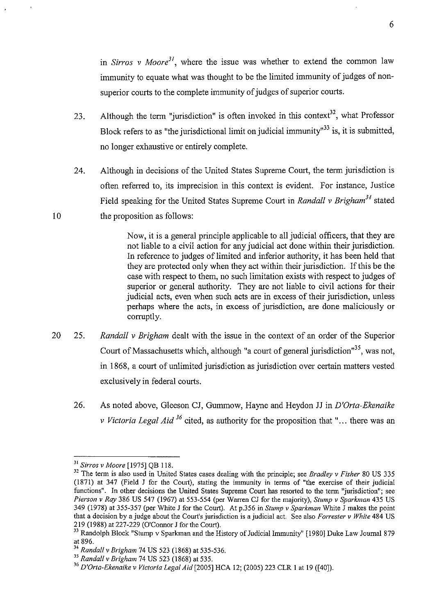in *Sirros v Moore*<sup>31</sup>, where the issue was whether to extend the common law immunity to equate what was thought to be the limited immunity of judges of nonsuperior courts to the complete immunity of judges of superior courts.

- 23. Although the term "jurisdiction" is often invoked in this context<sup>32</sup>, what Professor Block refers to as "the jurisdictional limit on judicial immunity"<sup>33</sup> is, it is submitted, no longer exhaustive or entirely complete.
- 24. Although in decisions of the United States Supreme Court, the term jurisdiction is often referred to, its imprecision in this context is evident. For instance, Justice Field speaking for the United States Supreme Court in *Randall v Brigham<sup>34</sup>*stated the proposition as follows:

Now, it is a general principle applicable to all judicial officers, that they are not liable to a civil action for any judicial act done within their jurisdiction. In reference to judges of limited and inferior authority, it has been held that they are protected only when they act within their jurisdiction. If this be the case with respect to them, no such limitation exists with respect to judges of superior or general authority. They are not liable to civil actions for their judicial acts, even when such acts are in excess of their jurisdiction, unless perhaps where the acts, in excess of jurisdiction, are done maliciously or corruptly.

- 20 25. *Randall v Brigham* dealt with the issue in the context of an order of the Superior Court of Massachusetts which, although "a court of general jurisdiction"<sup>35</sup>, was not, in 1868, a court of unlimited jurisdiction as jurisdiction over certain matters vested exclusively in federal courts.
	- 26. As noted above, Gleeson CJ, Gummow, Hayne and Heydon JJ in *D'Orta-Ekenaike v Victoria Legal Aid* <sup>36</sup> cited, as authority for the proposition that "... there was an

<sup>&</sup>lt;sup>31</sup> Sirros v Moore [1975] QB 118.<br><sup>32</sup> The term is also used in United States cases dealing with the principle; see *Bradley v Fisher* 80 US 335 (1871) at 347 (Field J for the Court), stating the immunity in terms of "the exercise of their judicial functions". In other decisions the United States Supreme Court has resorted to the term "jurisdiction"; see *Pierson v Ray* 386 US 547 (1967) at 553-554 (per Warren CJ for the majority), *Stump v Sparkman* 435 US 349 (1978) at 355-357 (per White J for the Court). At p.356 in *Stump v Sparkman* White J makes the point that a decision by a judge about the Court's jurisdiction is a judicial act. See also *F arrester v White* 484 US 219 (1988) at 227-229 (O'Connor Jforthe Court).

<sup>&</sup>lt;sup>33</sup> Randolph Block "Stump v Sparkman and the History of Judicial Immunity" [1980] Duke Law Journal 879 at 896.

at 896. 34 *Randall v Brigham* 74 US 523 (1868) at 535-536. 35 *Randall v Brigham* 74 US 523 (1868) at 535.

<sup>36</sup>*D'Orta-Ekenaikev Victoria Legal Aid[2005]* HCA 12; (2005) 223 CLR I at 19 ([40]).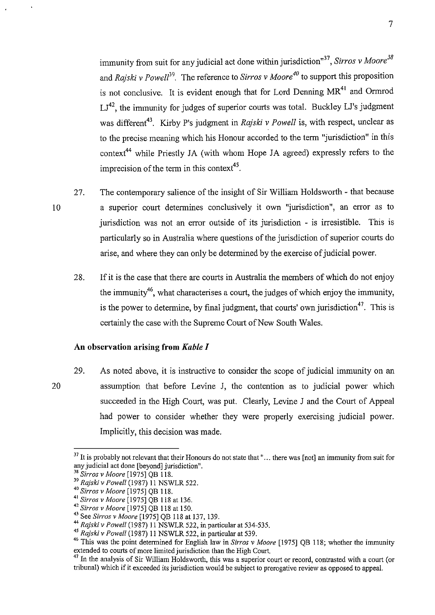immunity from suit for any judicial act done within jurisdiction<sup>"37</sup>, *Sirros v Moore*<sup>38</sup> and *Rajski v Powell*<sup>39</sup>. The reference to *Sirros v Moore<sup>40</sup>* to support this proposition is not conclusive. It is evident enough that for Lord Denning MR<sup>41</sup> and Ormrod LJ<sup>42</sup>, the immunity for judges of superior courts was total. Buckley LJ's judgment was different<sup>43</sup>. Kirby P's judgment in *Rajski v Powell* is, with respect, unclear as to the precise meaning which his Honour accorded to the term "jurisdiction" in this context<sup>44</sup> while Priestly JA (with whom Hope JA agreed) expressly refers to the imprecision of the term in this context<sup>45</sup>.

- 27. The contemporary salience of the insight of Sir William Holdsworth - that because a superior court determines conclusively it own "jurisdiction", an error as to jurisdiction was not an error outside of its jurisdiction - is irresistible. This is particularly so in Australia where questions of the jurisdiction of superior courts do arise, and where they can only be determined by the exercise of judicial power.
	- 28. If it is the case that there are courts in Australia the members of which do not enjoy the immunity<sup>46</sup>, what characterises a court, the judges of which enjoy the immunity, is the power to determine, by final judgment, that courts' own jurisdiction<sup>47</sup>. This is certainly the case with the Supreme Court of New South Wales.

## **An observation arising from** *Kable I*

20 29. As noted above, it is instructive to consider the scope of judicial immunity on an assumption that before Levine J, the contention as to judicial power which succeeded in the High Court, was put. Clearly, Levine J and the Court of Appeal had power to consider whether they were properly exercising judicial power. Implicitly, this decision was made.

 $37$  It is probably not relevant that their Honours do not state that "... there was [not] an immunity from suit for any judicial act done [beyond] jurisdiction".<br><sup>38</sup> Sirros v Moore [1975] QB 118.

<sup>&</sup>lt;sup>39</sup> Rajski v Powell (1987) 11 NSWLR 522.

<sup>40</sup> *Sirros v Moore* [1975] QB 118.<br><sup>41</sup> *Sirros v Moore* [1975] QB 118 at 136.

<sup>&</sup>lt;sup>42</sup> Sirros v Moore <sup>[1975]</sup> QB 118 at 150.<br><sup>43</sup> See *Sirros v Moore* [1975] QB 118 at 137, 139.<br><sup>44</sup> *Rajski v Powell* (1987) 11 NSWLR 522, in particular at 534-535.

<sup>45</sup> Rajski v Powell (1987) 11 NSWLR 522, in particular at 539.

<sup>46</sup> This was the point determined for English law in *Sirros v Moore* [1975] QB 118; whether the immunity extended to courts of more limited jurisdiction than the High Court.

<sup>&</sup>lt;sup>47</sup> In the analysis of Sir William Holdsworth, this was a superior court or record, contrasted with a court (or tribunal) which if it exceeded its jurisdiction would be subject to prerogative review as opposed to appeal.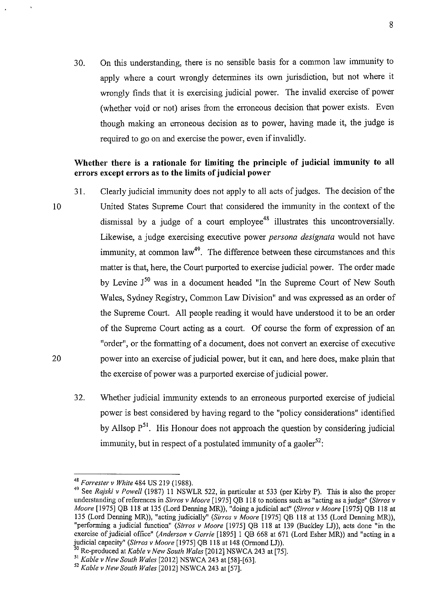30. On this understanding, there is no sensible basis for a common law immunity to apply where a court wrongly determines its own jurisdiction, but not where it wrongly finds that it is exercising judicial power. The invalid exercise of power (whether void or not) arises from the erroneous decision that power exists. Even though making an erroneous decision as to power, having made it, the judge is required to go on and exercise the power, even if invalidly.

## **Whether there is a rationale for limiting the principle of judicial immunity to all errors except errors as to the limits of judicial power**

- 10 20 31. Clearly judicial immunity does not apply to all acts of judges. The decision of the United States Supreme Court that considered the immunity in the context of the dismissal by a judge of a court employee<sup>48</sup> illustrates this uncontroversially. Likewise, a judge exercising executive power *persona designata* would not have immunity, at common law<sup>49</sup>. The difference between these circumstances and this matter is that, here, the Court purported to exercise judicial power. The order made by Levine J<sup>50</sup> was in a document headed "In the Supreme Court of New South Wales, Sydney Registry, Common Law Division" and was expressed as an order of the Supreme Court. All people reading it would have understood it to be an order of the Supreme Court acting as a court. Of course the form of expression of an "order", or the formatting of a document, does not convert an exercise of executive power into an exercise of judicial power, but it can, and here does, make plain that the exercise of power was a purported exercise of judicial power.
	- 32. Whether judicial immunity extends to an erroneous purported exercise of judicial power is best considered by having regard to the "policy considerations" identified by Allsop  $P^{51}$ . His Honour does not approach the question by considering judicial immunity, but in respect of a postulated immunity of a gaoler<sup>52</sup>:

<sup>48</sup>*Forrester v White* 484 US 219 (1988).

<sup>&</sup>lt;sup>49</sup> See *Rajski v Powell* (1987) 11 NSWLR 522, in particular at 533 (per Kirby P). This is also the proper understanding of references in *Sin·os v Moore* [1975] QB 118 to notions such as "acting as a judge" *(Sirros v Moore* [1975] QB 118 at 135 (Lord Denning MR)), "doing a judicial act" *(Sin·os v Moore* [1975] QB 118 at 135 (Lord Denning MR)), "acting judicially" *(Sin·os v Moore* [1975] QB 118 at 135 (Lord Denning MR)), "performing a judicial function" *(Sin·os v Moore* [1975] QB 118 at 139 (Buckley LJ)), acts done "in the exercise of judicial office" *(Anderson v Corrie* [1895] I QB 668 at 671 (Lord Esher MR)) and "acting in a judicial capacity" *(Sirros v Moore* [1975] QB 118 at 148 (Ormond LJ)).

<sup>50</sup> Re-produced at *Kable v New South Wales* [2012] NSWCA 243 at [75].

<sup>51</sup>*Kable v New South Wales* [2012] NSWCA 243 at [58]-[63]. ,,

*<sup>-</sup>Kable v New South Wales* [2012] NSWCA 243 at [57].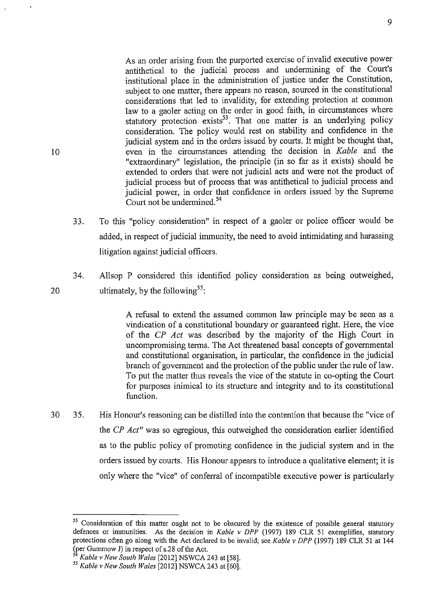As an order arising from the purported exercise of invalid executive power antithetical to the judicial process and undermining of the Court's institutional place in the administration of justice under the Constitution, subject to one matter, there appears no reason, sourced in the constitutional considerations that led to invalidity, for extending protection at common law to a gaoler acting on the order in good faith, in circumstances where statutory protection exists<sup>53</sup>. That one matter is an underlying policy consideration. The policy would rest on stability and confidence in the judicial system and in the orders issued by courts. It might be thought that, even in the circumstances attending the decision in *Kable* and the "extraordinary" legislation, the principle (in so far as it exists) should be extended to orders that were not judicial acts and were not the product of judicial process but of process that was antithetical to judicial process and judicial power, in order that confidence in orders issued by the Supreme Court not be undermined. 54

- 33. To this "policy consideration" in respect of a gaoler or police officer would be added, in respect of judicial immunity, the need to avoid intimidating and harassing litigation against judicial officers.
- 34. Allsop P considered this identified policy consideration as being outweighed, ultimately, by the following<sup>55</sup>:

A refusal to extend the assumed common law principle may be seen as a vindication of a constitutional boundary or guaranteed right. Here, the vice of the *CP Act* was described by the majority of the High Court in uncompromising terms. The Act threatened basal concepts of governmental and constitutional organisation, in particular, the confidence in the judicial branch of government and the protection of the public under the rule of law. To put the matter thus reveals the vice of the statute in co-opting the Court for purposes inimical to its structure and integrity and to its constitutional function.

30 35. His Honour's reasoning can be distilled into the contention that because the "vice of the *CP Act"* was so egregious, this outweighed the consideration earlier identified as to the public policy of promoting confidence in the judicial system and in the orders issued by courts. His Honour appears to introduce a qualitative element; it is only where the "vice" of conferral of incompatible executive power is particularly

<sup>&</sup>lt;sup>53</sup> Consideration of this matter ought not to be obscured by the existence of possible general statutory defences or immunities. As the decision in *Kable v DPP* (!997) 189 CLR 51 exemplifies, statutory protections often go along with the Act declared to be invalid; see *Kable v DPP* (!997) 189 CLR 51 at 144 (per Gummow J) in respect of s.28 of the Act. 54 *Kable v New South Wales* [2012] NSWCA 243 at [58].

*<sup>55</sup> Kable v New South Wales* [2012] NSWCA 243 at [60].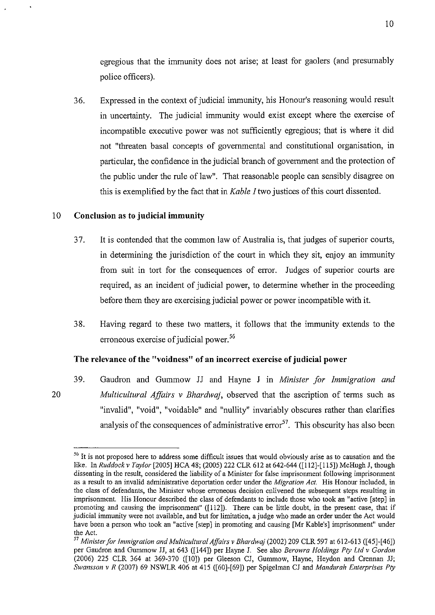egregious that the immunity does not arise; at least for gaolers (and presumably police officers).

36. Expressed in the context of judicial immunity, his Honour's reasoning would result in uncertainty. The judicial immunity would exist except where the exercise of incompatible executive power was not sufficiently egregious; that is where it did not "threaten basal concepts of governmental and constitutional organisation, in particular, the confidence in the judicial branch of government and the protection of the public under the rule of law". That reasonable people can sensibly disagree on this is exemplified by the fact that in *Kable I* two justices of this court dissented.

## 10 **Conclusion as to judicial immunity**

20

- 3 7. It is contended that the common law of Australia is, that judges of superior courts, in determining the jurisdiction of the court in which they sit, enjoy an immunity from suit in tort for the consequences of error. Judges of superior courts are required, as an incident of judicial power, to determine whether in the proceeding before them they are exercising judicial power or power incompatible with it.
- 38. Having regard to these two matters, it follows that the immunity extends to the erroneous exercise of judicial power.<sup>56</sup>

#### The relevance of the "voidness" of an incorrect exercise of judicial power

39. Gaudron and Gummow JJ and Hayne J in *Minister for Immigration and Multicultural Affairs v Bhardwaj,* observed that the ascription of terms such as "invalid", "void", "voidable" and "nullity" invariably obscures rather than clarifies analysis of the consequences of administrative error<sup>57</sup>. This obscurity has also been

<sup>&</sup>lt;sup>56</sup> It is not proposed here to address some difficult issues that would obviously arise as to causation and the like. In *Ruddock v Taylor* [2005] HCA 48; (2005) 222 CLR 612 at 642-644 ([112]-[115]) McHugh J, though dissenting in the result, considered the liability of a Minister for false imprisonment following imprisonment as a result to an invalid administrative deportation order under the *Migration Act.* His Honour included, in the class of defendants, the Minister whose erroneous decision enlivened the subsequent steps resulting in imprisonment. His Honour described the class of defendants to include those who took an "active [step] in promoting and causing the imprisonment" ([112]). There can be little doubt, in the present case, that if judicial immunity were not available, and but for limitation, a judge who made an order under the Act would have been a person who took an "active [step] in promoting and causing [Mr Kable's] imprisomnent" under the Act.<br><sup>57</sup> Minister for Immigration and Multicultural Affairs v Bhardwaj (2002) 209 CLR 597 at 612-613 ([45]-[46])

per Gaudron and Gummow JJ, at 643 ([144]) per Hayne J. See also *Berowra Holdings Pty Ltd v Gordon*  (2006) 225 CLR 364 at 369-370 ([10]) per Gleeson CJ, Gummow, Hayne, Heydon and Crennan JJ; *Swansson v R* (2007) 69 NSWLR 406 at 415 ([60]-[69]) per Spigelman CJ and *Mandurah Enterprises Pty*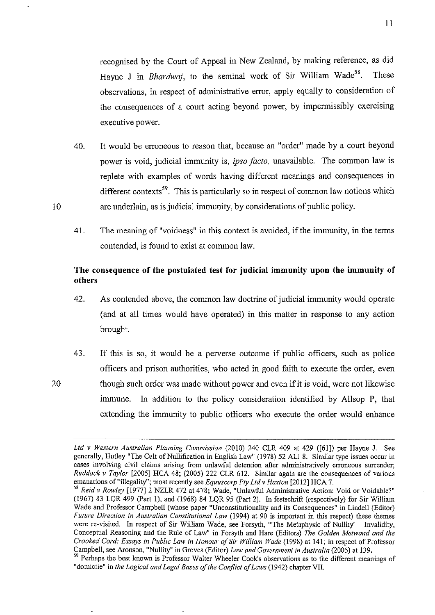observations, in respect of administrative error, apply equally to consideration of the consequences of a court acting beyond power, by impermissibly exercising executive power.

40. It would be erroneous to reason that, because an "order" made by a court beyond power is void, judicial immunity is, *ipso facto,* unavailable. The common law is replete with examples of words having different meanings and consequences in different contexts<sup>59</sup>. This is particularly so in respect of common law notions which are underlain, as is judicial immunity, by considerations of public policy.

10

20

41. The meaning of "voidness" in this context is avoided, if the immunity, in the terms contended, is found to exist at common law.

# **The consequence of the postulated test for judicial immunity upon the immunity of others**

- 42. As contended above, the common law doctrine of judicial immunity would operate (and at all times would have operated) in this matter in response to any action brought.
- 43. If this is so, it would be a perverse outcome if public officers, such as police officers and prison authorities, who acted in good faith to execute the order, even though such order was made without power and even if it is void, were not likewise immune. In addition to the policy consideration identified by Allsop P, that extending the immunity to public officers who execute the order would enhance

*Ltd v Western Australian Planning Commission* (2010) 240 CLR 409 at 429 ([61]) per Hayne J. See generally, Rutley "The Cult of Nullification in English Law" (1978) 52 ALJ 8. Similar type issues occur in **cases involving civil claims arising from unlawful detention after administratively erroneous surrender;**  *Ruddock v Taylor* [2005] HCA 48; (2005) 222 CLR 612. Similar again are the consequences of various emanations of "illegality"; most recently see *Equuscorp Pty Ltd v Haxton* [2012] HCA 7.

<sup>58</sup>*Reid v Rowley* [1977] 2 NZLR 472 at 478; Wade, "Unlawful Administrative Action: Void or Voidable?" (1967) 83 LQR 499 (Part 1), and (1968) 84 LQR 95 (Part 2). In festschrift (respectively) for Sir William Wade and Professor Campbell (whose paper "Unconstitutionality and its Consequences" in Lindell (Editor) *Future Direction in Australian Constitutional Law* (1994) at 90 is important in this respect) these themes were re-visited. In respect of Sir William Wade, see Forsyth, "The Metaphysic of Nullity' - Invalidity, Conceptual Reasoning and the Rule of Law" in Forsyth and Hare (Editors) *The Golden Metwand and the Crooked Cord: Essays in Public Law in Honour of Sir William Wade* (1998) at 141; in respect of Professor Campbell, see Aronson, "Nullity" in Groves (Editor) *Law and Government in Australia* (2005) at 139.

<sup>&</sup>lt;sup>59</sup> Perhaps the best known is Professor Walter Wheeler Cook's observations as to the different meanings of "domicile" in *the Logical and Legal Bases of the Conflict of Laws* (1942) chapter VII.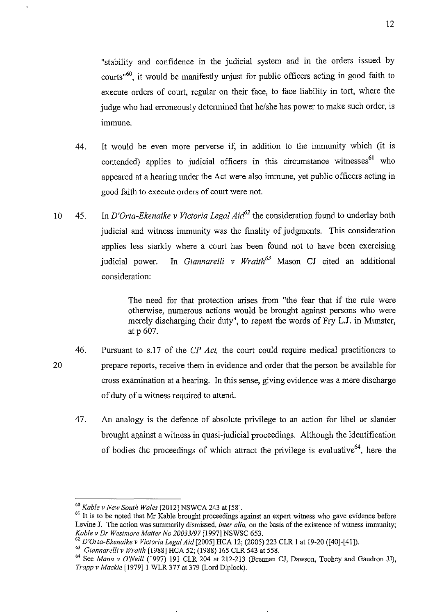"stability and confidence in the judicial system and in the orders issued by courts"60, it would be manifestly unjust for public officers acting in good faith to execute orders of court, regular on their face, to face liability in tort, where the judge who had erroneously determined that he/she has power to make such order, is immune.

- 44. It would be even more perverse if, in addition to the immunity which (it is contended) applies to judicial officers in this circumstance witnesses<sup>61</sup> who appeared at a hearing under the Act were also immune, yet public officers acting in good faith to execute orders of court were not.
- 10 45. In *D'Orta-Ekenaike v Victoria Legal Aitf2* the consideration found to underlay both judicial and witness immunity was the finality of judgments. This consideration applies less starkly where a court has been found not to have been exercising judicial power. In *Giannarelli v Wraith<sup>63</sup>* Mason CJ cited an additional consideration:

The need for that protection arises from "the fear that if the rule were otherwise, numerous actions would be brought against persons who were merely discharging their duty", to repeat the words of Fry L.J. in Munster, at p 607.

- 46. Pursuant to s.l7 of the *CP Act,* the court could require medical practitioners to prepare reports, receive them in evidence and order that the person be available for cross examination at a hearing. In this sense, giving evidence was a mere discharge of duty of a witness required to attend.
	- 47. An analogy is the defence of absolute privilege to an action for libel or slander brought against a witness in quasi-judicial proceedings. Although the identification of bodies the proceedings of which attract the privilege is evaluative<sup>64</sup>, here the

<sup>60</sup>*Kable v New South Wales* [2012] NSWCA 243 at [58].

<sup>&</sup>lt;sup>61</sup> It is to be noted that Mr Kable brought proceedings against an expert witness who gave evidence before Levine J. The action was summarily dismissed, *inter alia,* on the basis of the existence of witness immunity; *Kable v Dr Westmore Matter No 20033197* [1997] NSWSC 653.

<sup>62</sup>*D'Orta-Ekenaike v Victoria Legal Aid* [2005] HCA 12; (2005) 223 CLR 1 at 19-20 ([40]-[41]).

<sup>&</sup>lt;sup>63</sup> Giannarelli v Wraith [1988] HCA 52; (1988) 165 CLR 543 at 558.<br><sup>64</sup> See *Mann v O'Neill* (1997) 191 CLR 204 at 212-213 (Brennan CJ, Dawson, Toohey and Gaudron JJ), *Trapp v Mackie* [1979]1 WLR 377 at 379 (Lord Diplock).